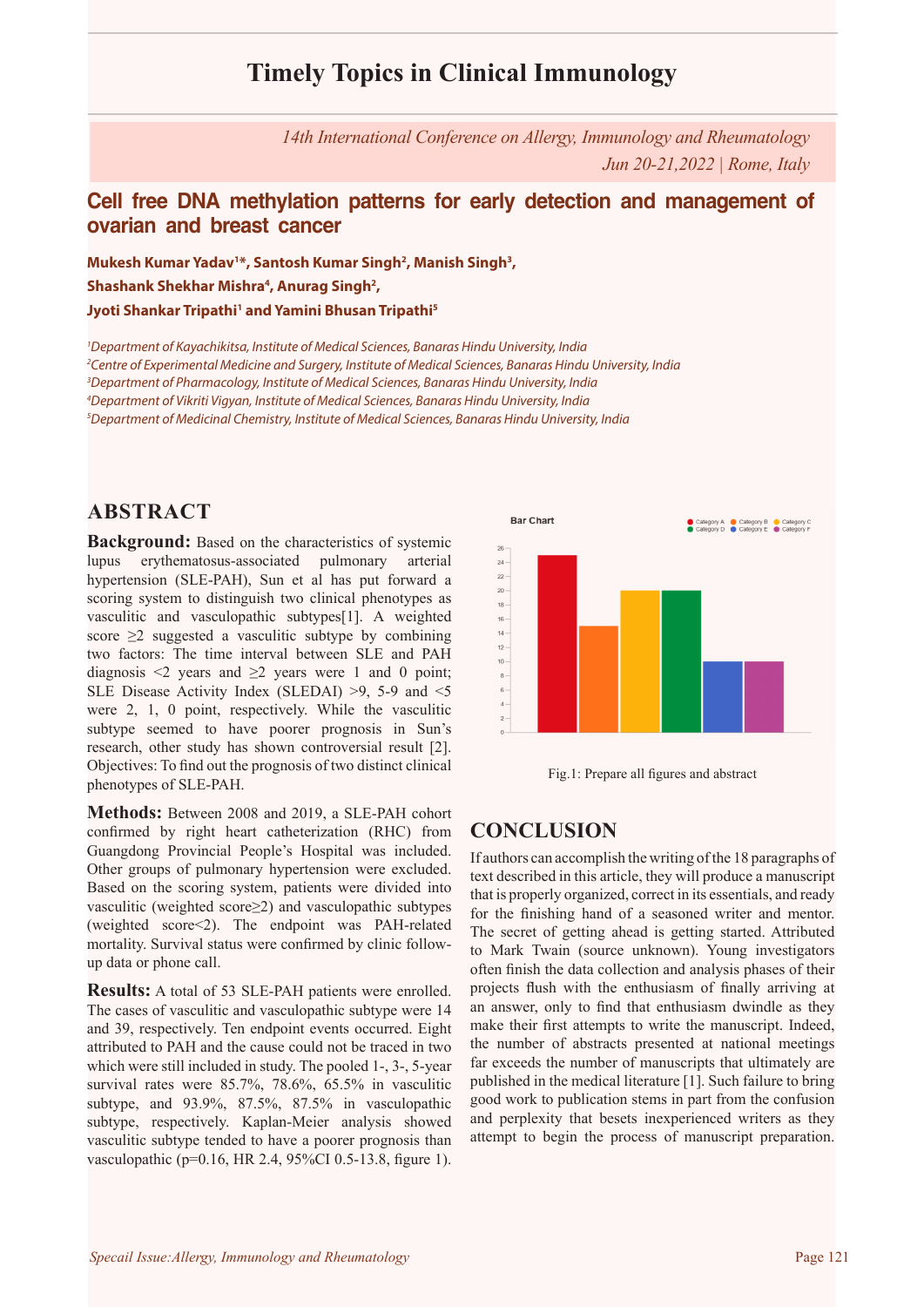# **Timely Topics in Clinical Immunology**

*14th International Conference on Allergy, Immunology and Rheumatology Jun 20-21,2022 | Rome, Italy*

### **Cell free DNA methylation patterns for early detection and management of ovarian and breast cancer**

**Mukesh Kumar Yadav1 \*, Santosh Kumar Singh2 , Manish Singh3 ,**  Shashank Shekhar Mishra<sup>4</sup>, Anurag Singh<sup>2</sup>, **Jyoti Shankar Tripathi1 and Yamini Bhusan Tripathi5**

 *Department of Kayachikitsa, Institute of Medical Sciences, Banaras Hindu University, India Centre of Experimental Medicine and Surgery, Institute of Medical Sciences, Banaras Hindu University, India Department of Pharmacology, Institute of Medical Sciences, Banaras Hindu University, India Department of Vikriti Vigyan, Institute of Medical Sciences, Banaras Hindu University, India Department of Medicinal Chemistry, Institute of Medical Sciences, Banaras Hindu University, India*

### **ABSTRACT**

**Background:** Based on the characteristics of systemic lupus erythematosus-associated pulmonary arterial hypertension (SLE-PAH), Sun et al has put forward a scoring system to distinguish two clinical phenotypes as vasculitic and vasculopathic subtypes[1]. A weighted score  $\geq$ 2 suggested a vasculitic subtype by combining two factors: The time interval between SLE and PAH diagnosis  $\leq 2$  years and  $\geq 2$  years were 1 and 0 point; SLE Disease Activity Index (SLEDAI) >9, 5-9 and <5 were 2, 1, 0 point, respectively. While the vasculitic subtype seemed to have poorer prognosis in Sun's research, other study has shown controversial result [2]. Objectives: To find out the prognosis of two distinct clinical phenotypes of SLE-PAH.

**Methods:** Between 2008 and 2019, a SLE-PAH cohort confirmed by right heart catheterization (RHC) from Guangdong Provincial People's Hospital was included. Other groups of pulmonary hypertension were excluded. Based on the scoring system, patients were divided into vasculitic (weighted score≥2) and vasculopathic subtypes (weighted score<2). The endpoint was PAH-related mortality. Survival status were confirmed by clinic followup data or phone call.

**Results:** A total of 53 SLE-PAH patients were enrolled. The cases of vasculitic and vasculopathic subtype were 14 and 39, respectively. Ten endpoint events occurred. Eight attributed to PAH and the cause could not be traced in two which were still included in study. The pooled 1-, 3-, 5-year survival rates were 85.7%, 78.6%, 65.5% in vasculitic subtype, and 93.9%, 87.5%, 87.5% in vasculopathic subtype, respectively. Kaplan-Meier analysis showed vasculitic subtype tended to have a poorer prognosis than vasculopathic (p=0.16, HR 2.4, 95%CI 0.5-13.8, figure 1).





## **CONCLUSION**

If authors can accomplish the writing of the 18 paragraphs of text described in this article, they will produce a manuscript that is properly organized, correct in its essentials, and ready for the finishing hand of a seasoned writer and mentor. The secret of getting ahead is getting started. Attributed to Mark Twain (source unknown). Young investigators often finish the data collection and analysis phases of their projects flush with the enthusiasm of finally arriving at an answer, only to find that enthusiasm dwindle as they make their first attempts to write the manuscript. Indeed, the number of abstracts presented at national meetings far exceeds the number of manuscripts that ultimately are published in the medical literature [1]. Such failure to bring good work to publication stems in part from the confusion and perplexity that besets inexperienced writers as they attempt to begin the process of manuscript preparation.